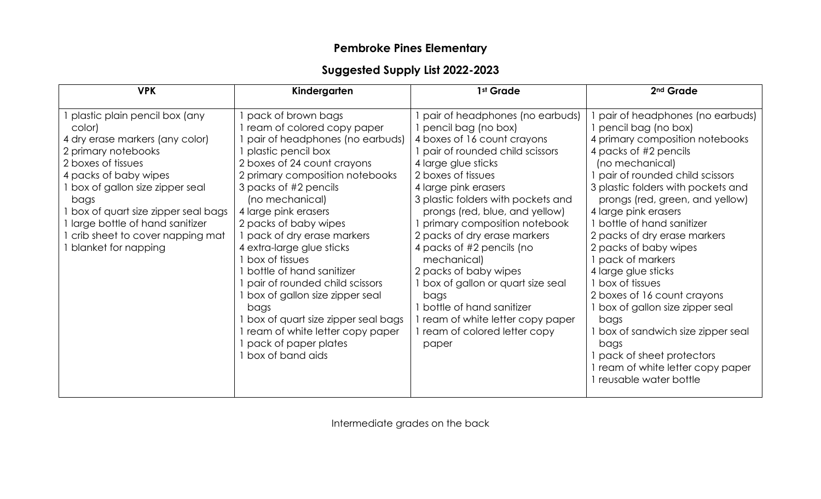## **Pembroke Pines Elementary**

## **Suggested Supply List 2022-2023**

| <b>VPK</b>                                                                                                                                                                                                                                                                                                                               | Kindergarten                                                                                                                                                                                                                                                                                                                                                                                                                                                                                                                                                                      | 1 <sup>st</sup> Grade                                                                                                                                                                                                                                                                                                                                                                                                                                                                                                                                        | 2 <sup>nd</sup> Grade                                                                                                                                                                                                                                                                                                                                                                                                                                                                                                                                                                                                                        |
|------------------------------------------------------------------------------------------------------------------------------------------------------------------------------------------------------------------------------------------------------------------------------------------------------------------------------------------|-----------------------------------------------------------------------------------------------------------------------------------------------------------------------------------------------------------------------------------------------------------------------------------------------------------------------------------------------------------------------------------------------------------------------------------------------------------------------------------------------------------------------------------------------------------------------------------|--------------------------------------------------------------------------------------------------------------------------------------------------------------------------------------------------------------------------------------------------------------------------------------------------------------------------------------------------------------------------------------------------------------------------------------------------------------------------------------------------------------------------------------------------------------|----------------------------------------------------------------------------------------------------------------------------------------------------------------------------------------------------------------------------------------------------------------------------------------------------------------------------------------------------------------------------------------------------------------------------------------------------------------------------------------------------------------------------------------------------------------------------------------------------------------------------------------------|
| 1 plastic plain pencil box (any<br>color)<br>4 dry erase markers (any color)<br>2 primary notebooks<br>2 boxes of tissues<br>4 packs of baby wipes<br>1 box of gallon size zipper seal<br>bags<br>I box of quart size zipper seal bags<br>1 large bottle of hand sanitizer<br>I crib sheet to cover napping mat<br>1 blanket for napping | pack of brown bags<br>ream of colored copy paper<br>pair of headphones (no earbuds)<br>plastic pencil box<br>2 boxes of 24 count crayons<br>2 primary composition notebooks<br>3 packs of #2 pencils<br>(no mechanical)<br>4 large pink erasers<br>2 packs of baby wipes<br>pack of dry erase markers<br>4 extra-large glue sticks<br>box of tissues<br>bottle of hand sanitizer<br>pair of rounded child scissors<br>box of gallon size zipper seal<br>bags<br>box of quart size zipper seal bags<br>ream of white letter copy paper<br>pack of paper plates<br>box of band aids | pair of headphones (no earbuds)<br>pencil bag (no box)<br>4 boxes of 16 count crayons<br>pair of rounded child scissors<br>4 large glue sticks<br>2 boxes of tissues<br>4 large pink erasers<br>3 plastic folders with pockets and<br>prongs (red, blue, and yellow)<br>primary composition notebook<br>2 packs of dry erase markers<br>4 packs of #2 pencils (no<br>mechanical)<br>2 packs of baby wipes<br>box of gallon or quart size seal<br>bags<br>bottle of hand sanitizer<br>ream of white letter copy paper<br>ream of colored letter copy<br>paper | pair of headphones (no earbuds)<br>pencil bag (no box)<br>4 primary composition notebooks<br>4 packs of #2 pencils<br>(no mechanical)<br>pair of rounded child scissors<br>3 plastic folders with pockets and<br>prongs (red, green, and yellow)<br>4 large pink erasers<br>1 bottle of hand sanitizer<br>2 packs of dry erase markers<br>2 packs of baby wipes<br>pack of markers<br>4 large glue sticks<br>1 box of tissues<br>2 boxes of 16 count crayons<br>1 box of gallon size zipper seal<br>bags<br>box of sandwich size zipper seal<br>bags<br>pack of sheet protectors<br>ream of white letter copy paper<br>reusable water bottle |

Intermediate grades on the back